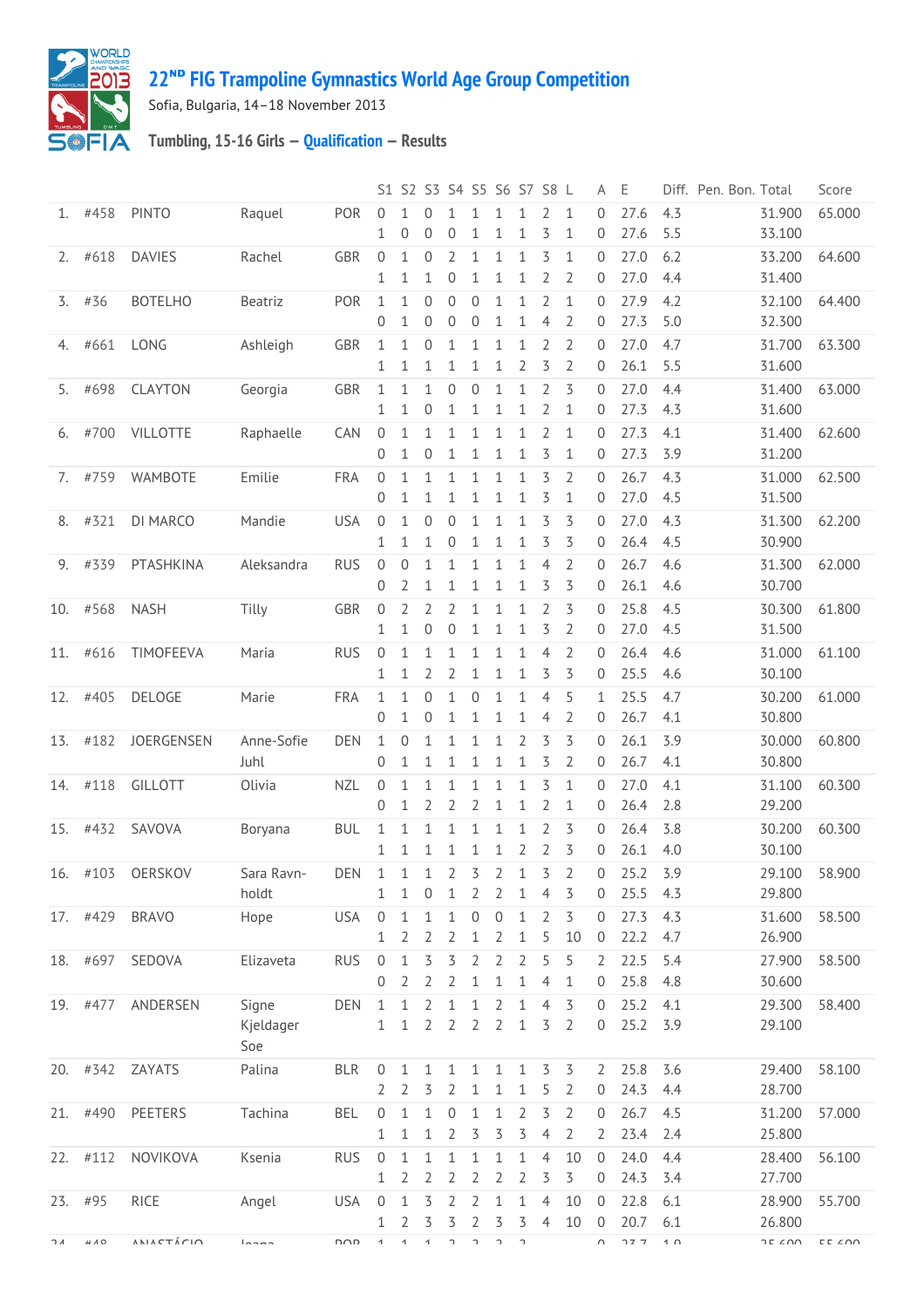

## **ᴺᴰ [FIG Trampoline Gymnastics World Age Group Competition](http://192.168.1.7:9001/event)**

Sofia, Bulgaria, 14–18 November 2013

## **Tumbling, 15-16 Girls — [Qualification](http://192.168.1.7:9001/stage/11) — Results**

|          |                  |                           |                  |            |                           |                              | S1 S2 S3 S4 S5 S6 S7 S8 L |                     |                            |                           |                              |                                  |                     | A                              | E            |                 | Diff. Pen. Bon. Total |                                    | Score                             |
|----------|------------------|---------------------------|------------------|------------|---------------------------|------------------------------|---------------------------|---------------------|----------------------------|---------------------------|------------------------------|----------------------------------|---------------------|--------------------------------|--------------|-----------------|-----------------------|------------------------------------|-----------------------------------|
| 1.       | #458             | <b>PINTO</b>              | Raquel           | POR        | 0<br>1                    | 0                            | 0<br>0                    | 1<br>0              | 1<br>1                     | 1<br>1                    | 1<br>$\mathbf{1}$            | 2<br>$\overline{\mathcal{S}}$    | 1<br>$\mathbf{1}$   | 0<br>$\overline{0}$            | 27.6<br>27.6 | 4.3<br>5.5      |                       | 31.900<br>33.100                   | 65.000                            |
| 2.       | #618             | <b>DAVIES</b>             | Rachel           | <b>GBR</b> | 0                         | 1                            | 0                         | 2                   | 1                          | 1                         | 1                            | 3                                | 1                   | $\mathbf{0}$                   | 27.0         | 6.2             |                       | 33.200                             | 64.600                            |
|          |                  |                           |                  |            | 1                         | 1                            | 1                         | 0                   | 1                          | $\mathbf{1}$              | 1                            | $\overline{2}$                   | 2                   | 0                              | 27.0         | 4.4             |                       | 31.400                             |                                   |
| 3.       | #36              | <b>BOTELHO</b>            | Beatriz          | POR        | $\mathbf{1}$<br>0         | 1<br>1                       | $\overline{0}$<br>0       | $\mathbf{0}$<br>0   | $\overline{0}$<br>$\theta$ | $\mathbf{1}$<br>1         | $\mathbf{1}$<br>1            | $\overline{2}$<br>$\overline{4}$ | $\mathbf{1}$<br>2   | $\overline{0}$<br>0            | 27.9<br>27.3 | 4.2<br>5.0      |                       | 32.100<br>32.300                   | 64.400                            |
| 4.       | #661             | LONG                      | Ashleigh         | GBR        | 1                         | 1                            | $\mathbf{0}$              | 1                   | 1                          | 1                         | 1                            | 2                                | $\overline{2}$      | $\overline{0}$                 | 27.0         | 4.7             |                       | 31.700                             | 63.300                            |
|          |                  |                           |                  |            | 1                         | 1                            | 1                         | 1                   | 1                          | 1                         | $\overline{2}$               | $\overline{5}$                   | $\overline{2}$      | 0                              | 26.1         | 5.5             |                       | 31.600                             |                                   |
| 5.       | #698             | <b>CLAYTON</b>            | Georgia          | <b>GBR</b> | $\mathbf 1$<br>1          | 1<br>1                       | 1<br>0                    | $\theta$<br>1       | $\mathbf 0$<br>1           | $\mathbf{1}$<br>1         | $\mathbf 1$<br>1             | $\overline{2}$<br>2              | 3<br>1              | $\Omega$<br>0                  | 27.0<br>27.3 | 4.4<br>4.3      |                       | 31.400<br>31.600                   | 63.000                            |
| 6.       | #700             | <b>VILLOTTE</b>           | Raphaelle        | <b>CAN</b> | $\mathbf 0$<br>0          | 1<br>1                       | 1<br>$\mathbf{0}$         | 1<br>1              | 1<br>1                     | 1<br>$\mathbf{1}$         | 1<br>$\mathbf 1$             | 2<br>3                           | 1<br>$\mathbf 1$    | $\overline{0}$<br>$\mathbf{0}$ | 27.3<br>27.3 | 4.1<br>3.9      |                       | 31.400<br>31.200                   | 62.600                            |
| 7.       | #759             | WAMBOTE                   | Emilie           | FRA        | $\boldsymbol{0}$          | 1                            | $\mathbf{1}$              | $\mathbf{1}$        | $\mathbf{1}$               | $\mathbf{1}$              | $\mathbf 1$                  | 3                                | $\overline{2}$      | $\mathbf{0}$                   | 26.7         | 4.3             |                       | 31.000                             | 62.500                            |
|          |                  |                           |                  |            | 0                         | 1                            | 1                         | 1                   | 1                          | 1                         | $\mathbf{1}$                 | $\overline{\mathcal{S}}$         | $\mathbf{1}$        | 0                              | 27.0         | 4.5             |                       | 31.500                             |                                   |
| 8.       | #321             | DI MARCO                  | Mandie           | <b>USA</b> | $\mathbf 0$               | 1                            | $\boldsymbol{0}$          | $\theta$            | 1                          | $\mathbf{1}$              | $\mathbf 1$                  | $\overline{5}$                   | 3                   | $\overline{0}$                 | 27.0         | 4.3             |                       | 31.300                             | 62.200                            |
|          |                  |                           |                  |            | 1                         | 1                            | 1                         | $\mathbf 0$         | 1                          | $\mathbf{1}$              | $\mathbf 1$                  | 3                                | 3                   | 0                              | 26.4         | 4.5             |                       | 30.900                             |                                   |
| 9.       | #339             | PTASHKINA                 | Aleksandra       | <b>RUS</b> | 0                         | $\mathbf 0$                  | 1                         | 1                   | 1                          | 1                         | 1                            | $\overline{4}$                   | 2                   | $\mathbf{0}$                   | 26.7         | 4.6             |                       | 31.300                             | 62.000                            |
|          |                  |                           |                  |            | 0                         | 2                            | 1                         | 1                   | 1                          | $\mathbf{1}$              | $\mathbf 1$                  | 3                                | 3                   | 0                              | 26.1         | 4.6             |                       | 30.700                             |                                   |
| 10.      | #568             | <b>NASH</b>               | Tilly            | <b>GBR</b> | 0<br>1                    | 2<br>1                       | $\overline{2}$<br>0       | $\overline{2}$<br>0 | 1<br>1                     | 1<br>1                    | $\mathbf{1}$<br>1            | $\overline{2}$<br>$\overline{5}$ | 3<br>$\overline{2}$ | $\mathbf{0}$<br>0              | 25.8<br>27.0 | 4.5<br>4.5      |                       | 30.300<br>31.500                   | 61.800                            |
| 11.      | #616             | TIMOFEEVA                 | Maria            | <b>RUS</b> | 0                         | 1                            | 1                         | 1                   | 1                          | 1                         | $\mathbf 1$                  | $\overline{4}$                   | 2                   | 0                              | 26.4         | 4.6             |                       | 31.000                             | 61.100                            |
|          |                  |                           |                  |            | 1                         | 1                            | 2                         | 2                   | 1                          | $\mathbf{1}$              | $\mathbf{1}$                 | 3                                | 3                   | $\mathbf{0}$                   | 25.5         | 4.6             |                       | 30.100                             |                                   |
| 12.      | #405             | <b>DELOGE</b>             | Marie            | <b>FRA</b> | $\mathbf{1}$              | $\mathbf{1}$                 | $\overline{0}$            | $\mathbf{1}$        | 0                          | $\mathbf{1}$              | 1                            | $\overline{4}$                   | 5                   | $\mathbf{1}$                   | 25.5         | 4.7             |                       | 30.200                             | 61.000                            |
|          |                  |                           |                  |            | 0                         | $\mathbf{1}$                 | 0                         | 1                   | 1                          | $\mathbf{1}$              | 1                            | $\overline{4}$                   | 2                   | $\mathbf 0$                    | 26.7         | 4.1             |                       | 30.800                             |                                   |
| 13.      | #182             | JOERGENSEN                | Anne-Sofie       | <b>DEN</b> | 1                         | $\theta$                     | 1                         | 1                   | 1                          | 1                         | $\overline{2}$               | 3                                | 3                   | $\mathbf{0}$                   | 26.1         | 3.9             |                       | 30.000                             | 60.800                            |
|          |                  |                           | Juhl             |            | 0                         | 1                            | 1                         | 1                   | 1                          | $\mathbf{1}$              | 1                            | 3                                | 2                   | 0                              | 26.7         | 4.1             |                       | 30.800                             |                                   |
| 14.      | #118             | <b>GILLOTT</b>            | Olivia           | <b>NZL</b> | 0<br>0                    | $\mathbf{1}$<br>1            | 1<br>2                    | 1<br>2              | 1<br>2                     | $\mathbf{1}$<br>1         | $\mathbf{1}$<br>$\mathbf{1}$ | 3<br>2                           | $\mathbf{1}$<br>1   | $\mathbf{0}$<br>0              | 27.0<br>26.4 | 4.1<br>2.8      |                       | 31.100<br>29.200                   | 60.300                            |
| 15.      | #432             | SAVOVA                    | Boryana          | <b>BUL</b> | 1                         | 1                            | 1                         | 1                   | 1                          | 1                         | 1                            | $\overline{2}$                   | 3                   | 0                              | 26.4         | 3.8             |                       | 30.200                             | 60.300                            |
|          |                  |                           |                  |            | 1                         | 1                            | $\mathbf 1$               | $\mathbf{1}$        | $\mathbf 1$                | $\mathbf{1}$              | $\overline{2}$               | $\overline{2}$                   | 3                   | $\overline{0}$                 | 26.1         | 4.0             |                       | 30.100                             |                                   |
| 16.      | #103             | OERSKOV                   | Sara Ravn-       | DEN        | $\mathbf{1}$              | $\mathbf{1}$                 | 1                         | $\mathbf{2}$        | $\overline{3}$             | $\overline{2}$            | $\mathbf{1}$                 | 3                                | $\overline{2}$      | 0                              | 25.2         | 3.9             |                       | 29.100                             | 58.900                            |
|          |                  |                           | holdt            |            | 1                         | $\mathbf{1}$                 | 0                         | $\mathbf{1}$        | 2                          | $\overline{2}$            | $\mathbf{1}$                 | 4                                | 3                   | 0                              | 25.5         | 4.3             |                       | 29.800                             |                                   |
|          | 17. #429         | <b>BRAVO</b>              | Hope             | <b>USA</b> | $\mathbf 0$<br>1          | 1<br>2                       | $\mathbf{1}$<br>2         | 1<br>2              | $\mathbf 0$<br>1           | $\,0\,$<br>$\overline{2}$ | $1\,$<br>$\mathbf{1}$        | $\overline{2}$<br>5              | 3<br>10             | $\mathbf 0$<br>$\overline{0}$  | 27.3<br>22.2 | 4.3<br>4.7      |                       | 31.600<br>26.900                   | 58.500                            |
| 18.      | #697             | SEDOVA                    | Elizaveta        | <b>RUS</b> | $\mathbf 0$               | 1                            | $\overline{5}$            | 3                   | $\overline{2}$             | 2                         | $\overline{2}$               | 5                                | 5                   | 2                              | 22.5         | 5.4             |                       | 27.900                             | 58.500                            |
|          |                  |                           |                  |            | 0                         | 2                            | 2                         | $\overline{2}$      | 1                          | $\mathbf{1}$              | $\mathbf{1}$                 | 4                                | $\mathbf{1}$        | 0                              | 25.8         | 4.8             |                       | 30.600                             |                                   |
|          | 19. #477         | ANDERSEN                  | Signe            | DEN        | $\mathbf{1}$              | $\mathbf{1}$                 | $\overline{2}$            | $\mathbf 1$         | 1                          | 2                         | $\mathbf 1$                  | $\overline{4}$                   | 3                   | $\Omega$                       | 25.2         | 4.1             |                       | 29.300                             | 58.400                            |
|          |                  |                           | Kjeldager<br>Soe |            | $\mathbf{1}$              | 1                            | $\overline{2}$            | $\overline{2}$      | $\overline{2}$             | $\overline{2}$            | $\mathbf{1}$                 | 3                                | $\overline{2}$      | $\overline{0}$                 | 25.2         | 3.9             |                       | 29.100                             |                                   |
|          | 20. #342         | ZAYATS                    | Palina           | <b>BLR</b> | $\mathbf 0$               | $\mathbf{1}$                 | $\mathbf{1}$              | $\mathbf{1}$        | 1                          | $\mathbf{1}$              | $\mathbf 1$                  | $\overline{3}$                   | 3                   | $\overline{2}$                 | 25.8         | 3.6             |                       | 29.400                             | 58.100                            |
|          |                  |                           |                  |            | $\overline{2}$            | $\overline{2}$               | 3                         | $\overline{2}$      | $\mathbf{1}$               | $1\,$                     | $\mathbf{1}$                 | 5                                | 2                   | 0                              | 24.3         | 4.4             |                       | 28.700                             |                                   |
| 21.      | #490             | PEETERS                   | Tachina          | BEL        | $\mathbf 0$               | 1                            | 1                         | $\mathbf 0$         | 1                          | $\mathbf{1}$              | 2                            | 3                                | 2                   | $\overline{0}$                 | 26.7         | 4.5             |                       | 31.200                             | 57.000                            |
|          |                  |                           |                  |            | 1                         | 1                            | 1                         | 2                   | 3                          | 3                         | 3                            | $\overline{4}$                   | 2                   | $\overline{2}$                 | 23.4         | 2.4             |                       | 25.800                             |                                   |
|          | 22. #112         | NOVIKOVA                  | Ksenia           | <b>RUS</b> | $\mathbf 0$               | 1                            | $1\,$                     | $\mathbf 1$         | 1                          | $\mathbf 1$               | $\mathbf 1$                  | $\overline{4}$                   | 10                  | $\mathbf 0$                    | 24.0         | 4.4             |                       | 28.400                             | 56.100                            |
|          |                  |                           |                  |            | $\mathbf 1$               | 2                            | 2                         | 2                   | 2                          | $\overline{2}$            | $\overline{2}$               | $\overline{3}$                   | 3                   | $\boldsymbol{0}$               | 24.3         | 3.4             |                       | 27.700                             |                                   |
| 23.      | #95              | RICE                      | Angel            | <b>USA</b> | $\mathbf 0$               | $\mathbf 1$                  | $\overline{5}$            | $\overline{2}$      | $\overline{2}$             | $\mathbf 1$               | $\mathbf 1$                  | $\overline{4}$                   | 10                  | $\overline{0}$                 | 22.8         | 6.1             |                       | 28.900                             | 55.700                            |
| $\neg A$ | $\pi$ v $\sigma$ | $A N I A C T \land C I O$ | l                | חרח        | 1<br>$\blacktriangleleft$ | 2<br>$\mathbf{\overline{4}}$ | 3<br>$\mathbf{1}$         | 3<br>L              | 2<br>$\lnot$               | 3<br>L                    | 3<br>C.                      | $\overline{4}$                   | 10                  | $\overline{0}$<br>$\cap$       | 20.7<br>777  | 6.1<br>$1 \cap$ |                       | 26.800<br>$7F$ $\wedge$ $0 \wedge$ | $\Gamma \Gamma \subset \cap \cap$ |
|          |                  |                           |                  |            |                           |                              |                           |                     |                            |                           |                              |                                  |                     |                                |              |                 |                       |                                    |                                   |